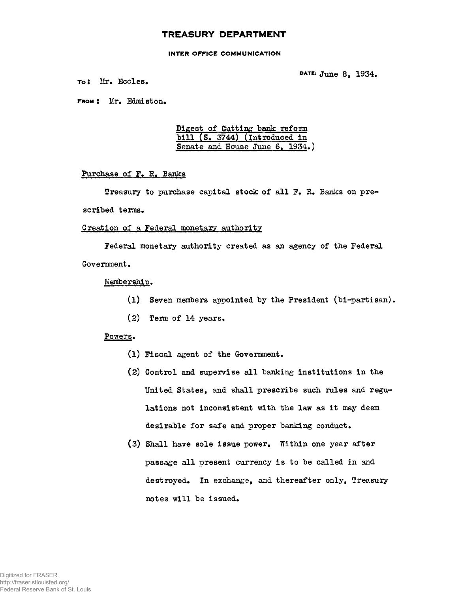# **TREASURY DEPARTMENT**

#### **INTER OFFICE COMMUNICATION**

 $DATE: June 8, 1934.$ 

To: Mr. Eccles.

FROM : Mr. Edmiston.

Digest of Cutting bank reform  $b111$  (S. 3744) (Introduced in Senate and House June 6, 1934.)

### Purchase of F. R. Banks

Treasury to purchase capital stock of all F. R. Banks on prescribed terms.

### Creation of a Federal monetary authority

Federal monetary authority created as an agency of the Federal Government.

# Membership.

- (1) Seven members appointed by the President (bi-partisan).
- $(2)$  Term of 14 years.

### Powers.

- $(1)$  Fiscal agent of the Government.
- (2) Control and supervise all banking institutions in the United States, and shall prescribe such rules and regulations not inconsistent with the law as it may deem desirable for safe and proper banking conduct.
- $(3)$  Shall have sole issue power. Within one year after passage all present currency is to be called in and destroyed. In exchange, and thereafter only, Treasury notes will be issued.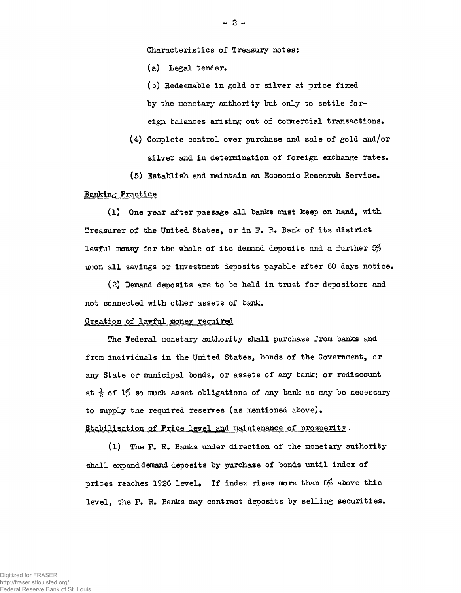Characteristics of Treasury notes:

- (a) Legal tender.
- (b) Redeemable in gold or silver at price fixed by the monetary authority but only to settle foreign balances arising out of commercial transactions.
- (4) Complete control over purchase and sale of gold and/or silver and in determination of foreign exchange rates.
- (5) Establish and maintain an Economic Research Service.

## Banking Practice

(1) One year after passage all banks must keep on hand, with Treasurer of the United States, or in F. R. Bank of its district lawful money for the whole of its demand deposits and a further  $5\%$ uoon all savings or investment deposits payable after 60 days notice.

(2) Demand deposits are to be held in trust for depositors and not connected with other assets of bank.

## Creation of lawful money required

The Federal monetary authority shall purchase from banks and from individuals in the United States, bonds of the Government, or any State or municipal bonds, or assets of any bank; or rediscount at  $\frac{1}{2}$  of 1% so much asset obligations of any bank as may be necessary to supply the required reserves (as mentioned above).

#### Stabilization of Price level and maintenance of prosperity.

(l) The F. R. Banks under direction of the monetary authority shall expand demand deposits by purchase of bonds until index of prices reaches 1926 level. If index rises more than  $5\%$  above this level, the F. R. Banks may contract deposits by selling securities.

 $- 2 -$